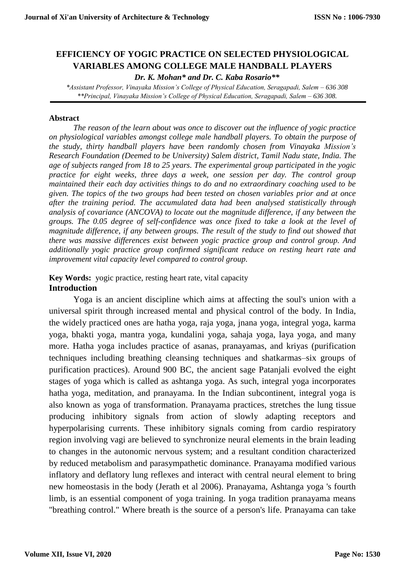# **EFFICIENCY OF YOGIC PRACTICE ON SELECTED PHYSIOLOGICAL VARIABLES AMONG COLLEGE MALE HANDBALL PLAYERS**

*Dr. K. Mohan\* and Dr. C. Kaba Rosario\*\** 

*\*Assistant Professor, Vinayaka Mission's College of Physical Education, Seragapadi, Salem – 636 308 \*\*Principal, Vinayaka Mission's College of Physical Education, Seragapadi, Salem – 636 308.*

#### **Abstract**

*The reason of the learn about was once to discover out the influence of yogic practice on physiological variables amongst college male handball players. To obtain the purpose of the study, thirty handball players have been randomly chosen from Vinayaka Mission's Research Foundation (Deemed to be University) Salem district, Tamil Nadu state, India. The age of subjects ranged from 18 to 25 years. The experimental group participated in the yogic practice for eight weeks, three days a week, one session per day. The control group maintained their each day activities things to do and no extraordinary coaching used to be given. The topics of the two groups had been tested on chosen variables prior and at once after the training period. The accumulated data had been analysed statistically through analysis of covariance (ANCOVA) to locate out the magnitude difference, if any between the groups. The 0.05 degree of self-confidence was once fixed to take a look at the level of magnitude difference, if any between groups. The result of the study to find out showed that there was massive differences exist between yogic practice group and control group. And additionally yogic practice group confirmed significant reduce on resting heart rate and improvement vital capacity level compared to control group*.

# **Key Words:** yogic practice, resting heart rate, vital capacity **Introduction**

Yoga is an ancient discipline which aims at affecting the soul's union with a universal spirit through increased mental and physical control of the body. In India, the widely practiced ones are hatha yoga, raja yoga, jnana yoga, integral yoga, karma yoga, bhakti yoga, mantra yoga, kundalini yoga, sahaja yoga, laya yoga, and many more. Hatha yoga includes practice of asanas, pranayamas, and kriyas (purification techniques including breathing cleansing techniques and shatkarmas–six groups of purification practices). Around 900 BC, the ancient sage Patanjali evolved the eight stages of yoga which is called as ashtanga yoga. As such, integral yoga incorporates hatha yoga, meditation, and pranayama. In the Indian subcontinent, integral yoga is also known as yoga of transformation. Pranayama practices, stretches the lung tissue producing inhibitory signals from action of slowly adapting receptors and hyperpolarising currents. These inhibitory signals coming from cardio respiratory region involving vagi are believed to synchronize neural elements in the brain leading to changes in the autonomic nervous system; and a resultant condition characterized by reduced metabolism and parasympathetic dominance. Pranayama modified various inflatory and deflatory lung reflexes and interact with central neural element to bring new homeostasis in the body (Jerath et al 2006). Pranayama, Ashtanga yoga 's fourth limb, is an essential component of yoga training. In yoga tradition pranayama means "breathing control." Where breath is the source of a person's life. Pranayama can take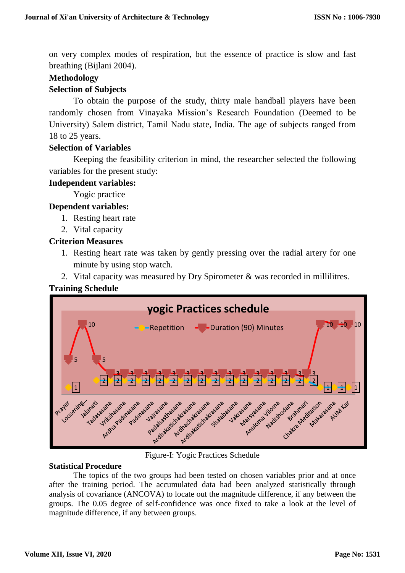on very complex modes of respiration, but the essence of practice is slow and fast breathing (Bijlani 2004).

# **Methodology**

# **Selection of Subjects**

To obtain the purpose of the study, thirty male handball players have been randomly chosen from Vinayaka Mission's Research Foundation (Deemed to be University) Salem district, Tamil Nadu state, India. The age of subjects ranged from 18 to 25 years.

### **Selection of Variables**

Keeping the feasibility criterion in mind, the researcher selected the following variables for the present study:

### **Independent variables:**

Yogic practice

# **Dependent variables:**

- 1. Resting heart rate
- 2. Vital capacity

# **Criterion Measures**

- 1. Resting heart rate was taken by gently pressing over the radial artery for one minute by using stop watch.
- 2. Vital capacity was measured by Dry Spirometer & was recorded in millilitres.

# **Training Schedule**



Figure-I: Yogic Practices Schedule

### **Statistical Procedure**

The topics of the two groups had been tested on chosen variables prior and at once after the training period. The accumulated data had been analyzed statistically through analysis of covariance (ANCOVA) to locate out the magnitude difference, if any between the groups. The 0.05 degree of self-confidence was once fixed to take a look at the level of magnitude difference, if any between groups.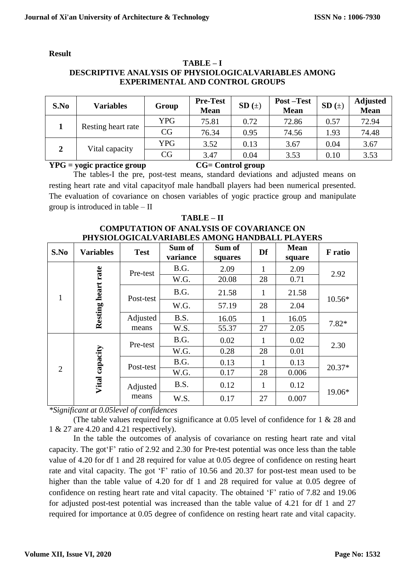#### **Result**

#### **TABLE – I DESCRIPTIVE ANALYSIS OF PHYSIOLOGICALVARIABLES AMONG EXPERIMENTAL AND CONTROL GROUPS**

| S.No | <b>Variables</b>   | Group      | <b>Pre-Test</b><br><b>Mean</b> | $SD(+)$ | <b>Post-Test</b><br><b>Mean</b> | $SD(+)$ | <b>Adjusted</b><br><b>Mean</b> |
|------|--------------------|------------|--------------------------------|---------|---------------------------------|---------|--------------------------------|
|      | Resting heart rate | <b>YPG</b> | 75.81                          | 0.72    | 72.86                           | 0.57    | 72.94                          |
|      |                    | CG         | 76.34                          | 0.95    | 74.56                           | 1.93    | 74.48                          |
| 2    | Vital capacity     | <b>YPG</b> | 3.52                           | 0.13    | 3.67                            | 0.04    | 3.67                           |
|      |                    | CG         | 3.47                           | 0.04    | 3.53                            | 0.10    | 3.53                           |

**YPG = yogic practice group CG= Control group**

The tables-I the pre, post-test means, standard deviations and adjusted means on resting heart rate and vital capacityof male handball players had been numerical presented. The evaluation of covariance on chosen variables of yogic practice group and manipulate group is introduced in table – II

| $1$ ADI JE $-11$                                |  |
|-------------------------------------------------|--|
| <b>COMPUTATION OF ANALYSIS OF COVARIANCE ON</b> |  |
| PHYSIOLOGICALVARIABLES AMONG HANDBALL PLAYERS   |  |

**TABLE – II**

| S.No           | <b>Variables</b>   | <b>Test</b>       | Sum of<br>variance | Sum of<br>squares | Df           | <b>Mean</b><br>square | <b>F</b> ratio |
|----------------|--------------------|-------------------|--------------------|-------------------|--------------|-----------------------|----------------|
| 1              | Resting heart rate | Pre-test          | B.G.               | 2.09              | 1            | 2.09                  | 2.92           |
|                |                    |                   | W.G.               | 20.08             | 28           | 0.71                  |                |
|                |                    | Post-test         | B.G.               | 21.58             | $\mathbf{1}$ | 21.58                 | 10.56*         |
|                |                    |                   | W.G.               | 57.19             | 28           | 2.04                  |                |
|                |                    | Adjusted<br>means | B.S.               | 16.05             | 1            | 16.05                 | $7.82*$        |
|                |                    |                   | W.S.               | 55.37             | 27           | 2.05                  |                |
| $\overline{2}$ | Vital capacity     | Pre-test          | B.G.               | 0.02              | $\mathbf{1}$ | 0.02                  | 2.30           |
|                |                    |                   | W.G.               | 0.28              | 28           | 0.01                  |                |
|                |                    | Post-test         | B.G.               | 0.13              | $\mathbf{1}$ | 0.13                  | $20.37*$       |
|                |                    |                   | W.G.               | 0.17              | 28           | 0.006                 |                |
|                |                    | Adjusted<br>means | B.S.               | 0.12              | $\mathbf{1}$ | 0.12                  | 19.06*         |
|                |                    |                   | W.S.               | 0.17              | 27           | 0.007                 |                |

*\*Significant at 0.05level of confidences* 

(The table values required for significance at 0.05 level of confidence for 1 & 28 and 1 & 27 are 4.20 and 4.21 respectively).

In the table the outcomes of analysis of covariance on resting heart rate and vital capacity. The got'F' ratio of 2.92 and 2.30 for Pre-test potential was once less than the table value of 4.20 for df 1 and 28 required for value at 0.05 degree of confidence on resting heart rate and vital capacity. The got 'F' ratio of 10.56 and 20.37 for post-test mean used to be higher than the table value of 4.20 for df 1 and 28 required for value at 0.05 degree of confidence on resting heart rate and vital capacity. The obtained 'F' ratio of 7.82 and 19.06 for adjusted post-test potential was increased than the table value of 4.21 for df 1 and 27 required for importance at 0.05 degree of confidence on resting heart rate and vital capacity.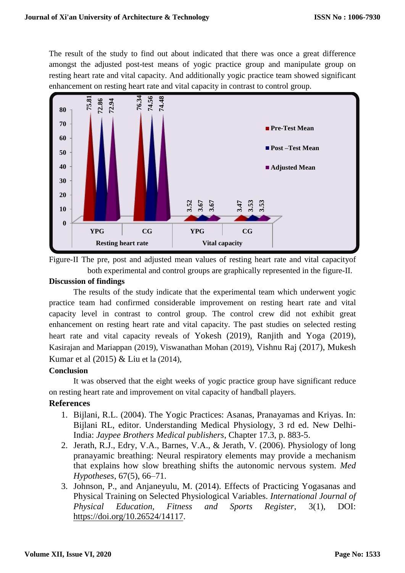The result of the study to find out about indicated that there was once a great difference amongst the adjusted post-test means of yogic practice group and manipulate group on resting heart rate and vital capacity. And additionally yogic practice team showed significant enhancement on resting heart rate and vital capacity in contrast to control group.



Figure-II The pre, post and adjusted mean values of resting heart rate and vital capacityof both experimental and control groups are graphically represented in the figure-II.

#### **Discussion of findings**

The results of the study indicate that the experimental team which underwent yogic practice team had confirmed considerable improvement on resting heart rate and vital capacity level in contrast to control group. The control crew did not exhibit great enhancement on resting heart rate and vital capacity. The past studies on selected resting heart rate and vital capacity reveals of Yokesh (2019), Ranjith and Yoga (2019), Kasirajan and Mariappan (2019), Viswanathan Mohan (2019), Vishnu Raj (2017), Mukesh Kumar et al (2015) & Liu et la (2014),

### **Conclusion**

It was observed that the eight weeks of yogic practice group have significant reduce on resting heart rate and improvement on vital capacity of handball players.

### **References**

- 1. Bijlani, R.L. (2004). The Yogic Practices: Asanas, Pranayamas and Kriyas. In: Bijlani RL, editor. Understanding Medical Physiology, 3 rd ed. New Delhi-India: *Jaypee Brothers Medical publishers*, Chapter 17.3, p. 883-5.
- 2. Jerath, R.J., Edry, V.A., Barnes, V.A., & Jerath, V. (2006). Physiology of long pranayamic breathing: Neural respiratory elements may provide a mechanism that explains how slow breathing shifts the autonomic nervous system. *Med Hypotheses*, 67(5), 66–71.
- 3. Johnson, P., and Anjaneyulu, M. (2014). Effects of Practicing Yogasanas and Physical Training on Selected Physiological Variables. *International Journal of Physical Education, Fitness and Sports Register*, 3(1), DOI: [https://doi.org/10.26524/14117.](https://doi.org/10.26524/14117)